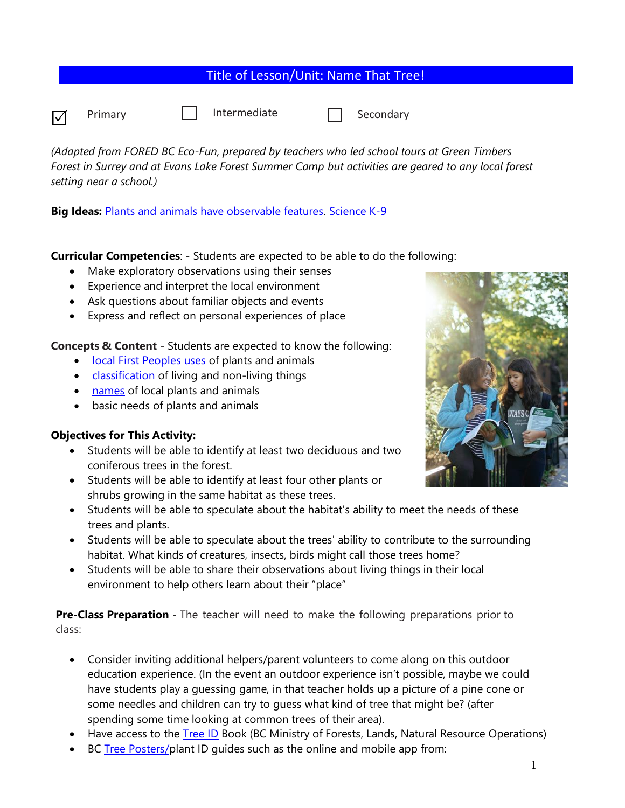|                 |         | Title of Lesson/Unit: Name That Tree! |           |  |
|-----------------|---------|---------------------------------------|-----------|--|
| $\triangledown$ | Primary | Intermediate                          | Secondary |  |

*(Adapted from FORED BC Eco-Fun, prepared by teachers who led school tours at Green Timbers Forest in Surrey and at Evans Lake Forest Summer Camp but activities are geared to any local forest setting near a school.)*

**Big Ideas:** [Plants and animals have observable features.](https://curriculum.gov.bc.ca/curriculum/science/K/core) [Science K-9](https://www.google.com/url?sa=t&rct=j&q=&esrc=s&source=web&cd=&ved=2ahUKEwiljf73x7_vAhXPITQIHTyiAHAQFjABegQIBhAD&url=https%3A%2F%2Fcurriculum.gov.bc.ca%2Fsites%2Fcurriculum.gov.bc.ca%2Ffiles%2Fcurriculum%2Fscience%2Fen_science_k-9_elab.pdf&usg=AOvVaw21tDhI27ZRtghoxg5vGMR8)

# **Curricular Competencies**: - Students are expected to be able to do the following:

- Make exploratory observations using their senses
- Experience and interpret the local environment
- Ask questions about familiar objects and events
- Express and reflect on personal experiences of place

**Concepts & Content** - Students are expected to know the following:

- [local First Peoples uses](https://curriculum.gov.bc.ca/curriculum/science/K/core) of plants and animals
- [classification](https://curriculum.gov.bc.ca/curriculum/science/1/core) of living and non-living things
- [names](https://curriculum.gov.bc.ca/curriculum/science/1/core) of local plants and animals
- basic needs of plants and animals

# **Objectives for This Activity:**

- Students will be able to identify at least two deciduous and two coniferous trees in the forest.
- Students will be able to identify at least four other plants or shrubs growing in the same habitat as these trees.
- Students will be able to speculate about the habitat's ability to meet the needs of these trees and plants.
- Students will be able to speculate about the trees' ability to contribute to the surrounding habitat. What kinds of creatures, insects, birds might call those trees home?
- Students will be able to share their observations about living things in their local environment to help others learn about their "place"

**Pre-Class Preparation** - The teacher will need to make the following preparations prior to class:

- Consider inviting additional helpers/parent volunteers to come along on this outdoor education experience. (In the event an outdoor experience isn't possible, maybe we could have students play a guessing game, in that teacher holds up a picture of a pine cone or some needles and children can try to guess what kind of tree that might be? (after spending some time looking at common trees of their area).
- Have access to the [Tree ID](https://www.for.gov.bc.ca/hfd/library/documents/treebook/treebook.pdf) Book (BC Ministry of Forests, Lands, Natural Resource Operations)
- BC [Tree Posters/](https://www.bcnfw.ca/teaching-forestry-resources/bc-tree-posters/)plant ID quides such as the online and mobile app from:

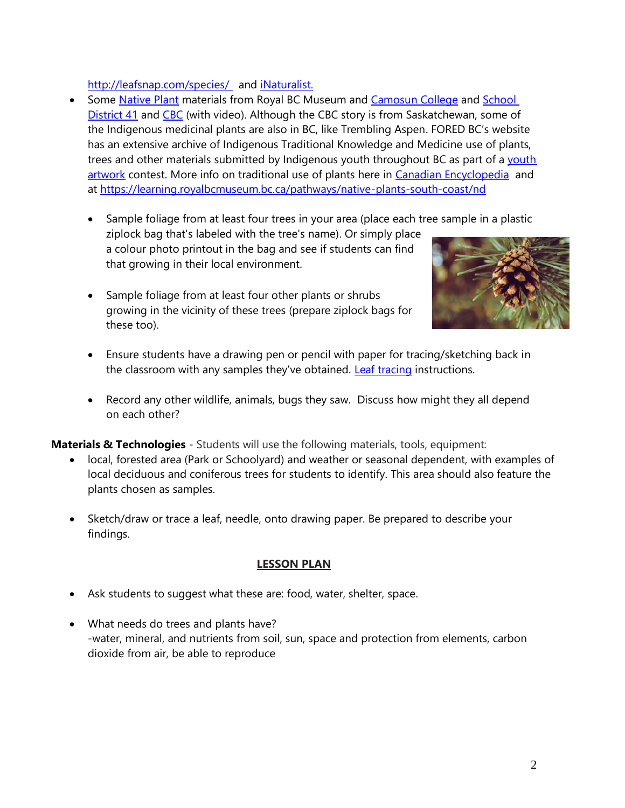### <http://leafsnap.com/species/> and [iNaturalist.](https://www.inaturalist.org/)

- Some [Native Plant](https://learning.royalbcmuseum.bc.ca/pathways/native-plants-south-coast/) materials from Royal BC Museum and [Camosun College](http://camosun.ca/sustainability/garden/plant-id.html) and School [District 41](http://blogs.sd41.bc.ca/gilmore-library/primary-teachers-pages/mrs-pears/plants/) and [CBC](https://www.cbc.ca/news/canada/saskatoon/indigenous-medicinal-walk-1.4235900) (with video). Although the CBC story is from Saskatchewan, some of the Indigenous medicinal plants are also in BC, like Trembling Aspen. FORED BC's website has an extensive archive of Indigenous Traditional Knowledge and Medicine use of plants, trees and other materials submitted by Indigenous [youth](http://www.foredbc.org/common/main.cfm?ind=1&sin=1&ssi=0&sss=1.) throughout BC as part of a youth [artwork](http://www.foredbc.org/common/main.cfm?ind=1&sin=1&ssi=0&sss=1.) contest. More info on traditional use of plants here in [Canadian Encyclopedia](https://www.thecanadianencyclopedia.ca/en/article/native-medicines) and at<https://learning.royalbcmuseum.bc.ca/pathways/native-plants-south-coast/nd>
	- Sample foliage from at least four trees in your area (place each tree sample in a plastic
	- ziplock bag that's labeled with the tree's name). Or simply place a colour photo printout in the bag and see if students can find that growing in their local environment.
	- Sample foliage from at least four other plants or shrubs growing in the vicinity of these trees (prepare ziplock bags for these too).



- Ensure students have a drawing pen or pencil with paper for tracing/sketching back in the classroom with any samples they've obtained. [Leaf tracing](https://www.firstpalette.com/craft/leaf-rubbings.html) instructions.
- Record any other wildlife, animals, bugs they saw. Discuss how might they all depend on each other?

**Materials & Technologies** - Students will use the following materials, tools, equipment:

- local, forested area (Park or Schoolyard) and weather or seasonal dependent, with examples of local deciduous and coniferous trees for students to identify. This area should also feature the plants chosen as samples.
- Sketch/draw or trace a leaf, needle, onto drawing paper. Be prepared to describe your findings.

### **LESSON PLAN**

- Ask students to suggest what these are: food, water, shelter, space.
- What needs do trees and plants have? -water, mineral, and nutrients from soil, sun, space and protection from elements, carbon dioxide from air, be able to reproduce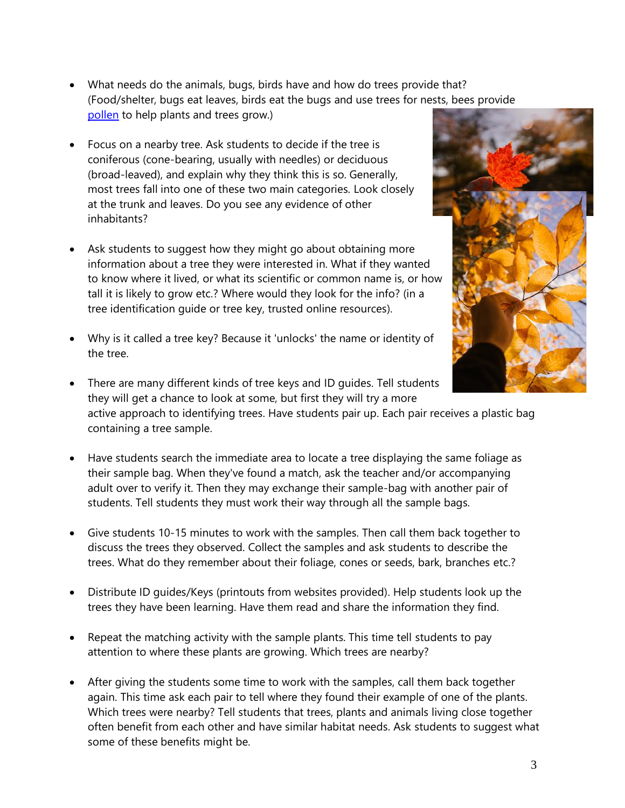- What needs do the animals, bugs, birds have and how do trees provide that? (Food/shelter, bugs eat leaves, birds eat the bugs and use trees for nests, bees provide [pollen](https://www.thecanadianencyclopedia.ca/en/article/maple) to help plants and trees grow.)
- Focus on a nearby tree. Ask students to decide if the tree is coniferous (cone-bearing, usually with needles) or deciduous (broad-leaved), and explain why they think this is so. Generally, most trees fall into one of these two main categories. Look closely at the trunk and leaves. Do you see any evidence of other inhabitants?
- Ask students to suggest how they might go about obtaining more information about a tree they were interested in. What if they wanted to know where it lived, or what its scientific or common name is, or how tall it is likely to grow etc.? Where would they look for the info? (in a tree identification guide or tree key, trusted online resources).
- Why is it called a tree key? Because it 'unlocks' the name or identity of the tree.



- There are many different kinds of tree keys and ID guides. Tell students they will get a chance to look at some, but first they will try a more active approach to identifying trees. Have students pair up. Each pair receives a plastic bag containing a tree sample.
- Have students search the immediate area to locate a tree displaying the same foliage as their sample bag. When they've found a match, ask the teacher and/or accompanying adult over to verify it. Then they may exchange their sample-bag with another pair of students. Tell students they must work their way through all the sample bags.
- Give students 10-15 minutes to work with the samples. Then call them back together to discuss the trees they observed. Collect the samples and ask students to describe the trees. What do they remember about their foliage, cones or seeds, bark, branches etc.?
- Distribute ID guides/Keys (printouts from websites provided). Help students look up the trees they have been learning. Have them read and share the information they find.
- Repeat the matching activity with the sample plants. This time tell students to pay attention to where these plants are growing. Which trees are nearby?
- After giving the students some time to work with the samples, call them back together again. This time ask each pair to tell where they found their example of one of the plants. Which trees were nearby? Tell students that trees, plants and animals living close together often benefit from each other and have similar habitat needs. Ask students to suggest what some of these benefits might be.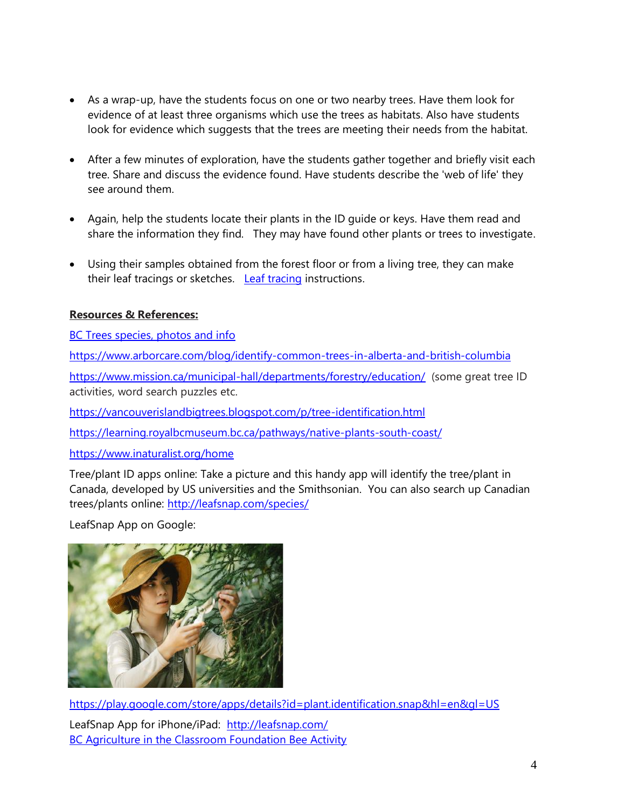- As a wrap-up, have the students focus on one or two nearby trees. Have them look for evidence of at least three organisms which use the trees as habitats. Also have students look for evidence which suggests that the trees are meeting their needs from the habitat.
- After a few minutes of exploration, have the students gather together and briefly visit each tree. Share and discuss the evidence found. Have students describe the 'web of life' they see around them.
- Again, help the students locate their plants in the ID guide or keys. Have them read and share the information they find. They may have found other plants or trees to investigate.
- Using their samples obtained from the forest floor or from a living tree, they can make their leaf tracings or sketches. [Leaf tracing](https://www.firstpalette.com/craft/leaf-rubbings.html) instructions.

# **Resources & References:**

[BC Trees species, photos and info](https://www.naturallywood.com/species/)

<https://www.arborcare.com/blog/identify-common-trees-in-alberta-and-british-columbia>

<https://www.mission.ca/municipal-hall/departments/forestry/education/>(some great tree ID activities, word search puzzles etc.

<https://vancouverislandbigtrees.blogspot.com/p/tree-identification.html>

<https://learning.royalbcmuseum.bc.ca/pathways/native-plants-south-coast/>

### <https://www.inaturalist.org/home>

Tree/plant ID apps online: Take a picture and this handy app will identify the tree/plant in Canada, developed by US universities and the Smithsonian. You can also search up Canadian trees/plants online:<http://leafsnap.com/species/>

LeafSnap App on Google:



<https://play.google.com/store/apps/details?id=plant.identification.snap&hl=en&gl=US> LeafSnap App for iPhone/iPad: <http://leafsnap.com/> **[BC Agriculture in the Classroom Foundation Bee Activity](https://www.bcaitc.ca/blog/all-about-bees)**